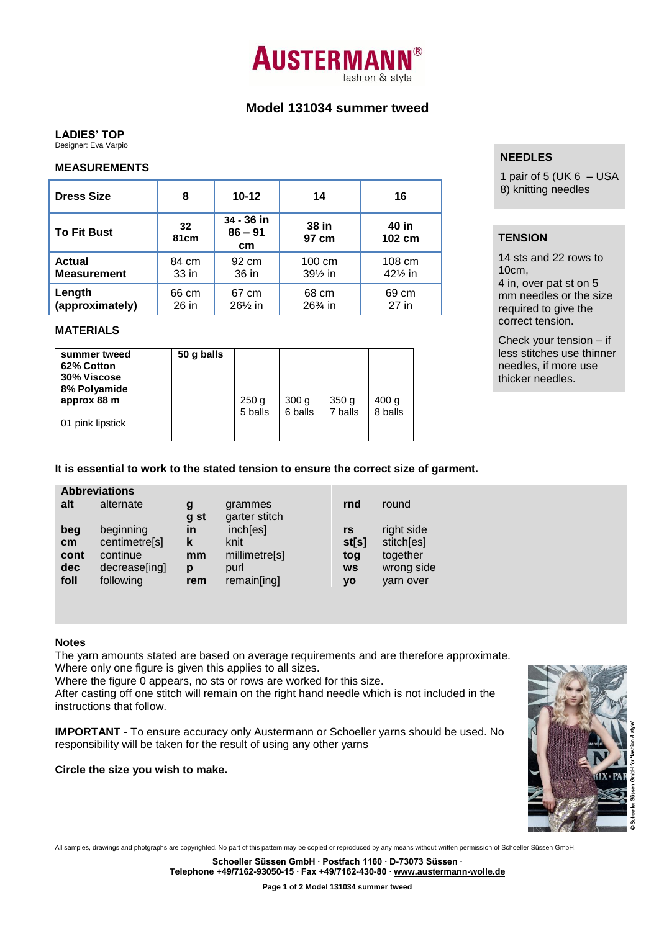# **AUSTERMAN** fashion & style

# **Model 131034 summer tweed**

## **LADIES' TOP**

Designer: Eva Varpio

### **MEASUREMENTS**

| <b>Dress Size</b>                   | 8                | $10 - 12$                     | 14                            | 16                           | $P^2 = 50$<br>8) knitting needles                      |
|-------------------------------------|------------------|-------------------------------|-------------------------------|------------------------------|--------------------------------------------------------|
| <b>To Fit Bust</b>                  | 32<br>81cm       | 34 - 36 in<br>$86 - 91$<br>cm | 38 in<br>97 cm                | 40 in<br>102 cm              | <b>TENSION</b>                                         |
| <b>Actual</b><br><b>Measurement</b> | 84 cm<br>$33$ in | 92 cm<br>36 in                | $100 \text{ cm}$<br>$39\%$ in | 108 cm<br>$42\frac{1}{2}$ in | 14 sts and 22 rows<br>$10cm$ ,<br>4 in, over pat st on |
| Length<br>(approximately)           | 66 cm<br>26 in   | 67 cm<br>$26\frac{1}{2}$ in   | 68 cm<br>$26\%$ in            | 69 cm<br>27 in               | mm needles or the<br>required to give the              |

## **MATERIALS**

| 50 g balls<br>summer tweed<br>62% Cotton<br>30% Viscose<br>8% Polyamide<br>approx 88 m<br>01 pink lipstick | 250 <sub>g</sub><br>5 balls | 300 <sub>g</sub><br>6 balls | 350 <sub>g</sub><br>7 balls | 400 <sub>g</sub><br>8 balls |  |
|------------------------------------------------------------------------------------------------------------|-----------------------------|-----------------------------|-----------------------------|-----------------------------|--|
|------------------------------------------------------------------------------------------------------------|-----------------------------|-----------------------------|-----------------------------|-----------------------------|--|

# **It is essential to work to the stated tension to ensure the correct size of garment.**

### **Abbreviations**

| alt  | alternate     | g<br>g st | grammes<br>garter stitch | rnd       | round      |
|------|---------------|-----------|--------------------------|-----------|------------|
| beg  | beginning     | in        | inch[es]                 | rs        | right side |
| cm   | centimetre[s] | k         | knit                     | st[s]     | stitch[es] |
| cont | continue      | mm        | millimetre[s]            | tog       | together   |
| dec  | decrease[ing] | р         | purl                     | <b>WS</b> | wrong side |
| foll | following     | rem       | remain[ing]              | yo        | yarn over  |

### **Notes**

The yarn amounts stated are based on average requirements and are therefore approximate. Where only one figure is given this applies to all sizes.

Where the figure 0 appears, no sts or rows are worked for this size.

After casting off one stitch will remain on the right hand needle which is not included in the instructions that follow.

**IMPORTANT** - To ensure accuracy only Austermann or Schoeller yarns should be used. No responsibility will be taken for the result of using any other yarns

### **Circle the size you wish to make.**

All samples, drawings and photgraphs are copyrighted. No part of this pattern may be copied or reproduced by any means without written permission of Schoeller Süssen GmbH.

**Schoeller Süssen GmbH ∙ Postfach 1160 ∙ D-73073 Süssen ∙ Telephone +49/7162-93050-15 ∙ Fax +49/7162-430-80 ∙ www.austermann-wolle.de**

# **NEEDLES**

1 pair of 5 (UK  $6 -$  USA

# **TENSION**

14 sts and 22 rows to 10cm, 4 in, over pat st on 5 mm needles or the size required to give the correct tension.

Check your tension – if less stitches use thinner needles, if more use thicker needles.